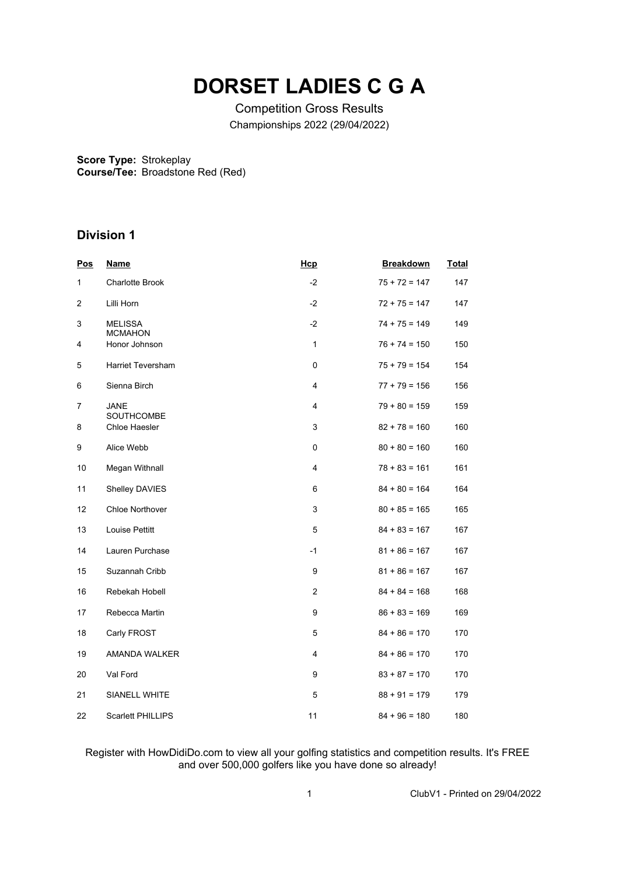## **DORSET LADIES C G A**

Competition Gross Results Championships 2022 (29/04/2022)

**Score Type:** Strokeplay **Course/Tee:** Broadstone Red (Red)

## **Division 1**

| Pos | <b>Name</b>                      | Hcp            | <b>Breakdown</b> | <b>Total</b> |
|-----|----------------------------------|----------------|------------------|--------------|
| 1   | <b>Charlotte Brook</b>           | $-2$           | $75 + 72 = 147$  | 147          |
| 2   | Lilli Horn                       | $-2$           | $72 + 75 = 147$  | 147          |
| 3   | <b>MELISSA</b><br><b>MCMAHON</b> | $-2$           | $74 + 75 = 149$  | 149          |
| 4   | Honor Johnson                    | $\mathbf{1}$   | $76 + 74 = 150$  | 150          |
| 5   | Harriet Teversham                | 0              | $75 + 79 = 154$  | 154          |
| 6   | Sienna Birch                     | 4              | $77 + 79 = 156$  | 156          |
| 7   | JANE<br><b>SOUTHCOMBE</b>        | 4              | $79 + 80 = 159$  | 159          |
| 8   | Chloe Haesler                    | 3              | $82 + 78 = 160$  | 160          |
| 9   | Alice Webb                       | 0              | $80 + 80 = 160$  | 160          |
| 10  | Megan Withnall                   | 4              | $78 + 83 = 161$  | 161          |
| 11  | Shelley DAVIES                   | 6              | $84 + 80 = 164$  | 164          |
| 12  | <b>Chloe Northover</b>           | 3              | $80 + 85 = 165$  | 165          |
| 13  | Louise Pettitt                   | 5              | $84 + 83 = 167$  | 167          |
| 14  | Lauren Purchase                  | -1             | $81 + 86 = 167$  | 167          |
| 15  | Suzannah Cribb                   | 9              | $81 + 86 = 167$  | 167          |
| 16  | Rebekah Hobell                   | $\overline{c}$ | $84 + 84 = 168$  | 168          |
| 17  | Rebecca Martin                   | 9              | $86 + 83 = 169$  | 169          |
| 18  | Carly FROST                      | 5              | $84 + 86 = 170$  | 170          |
| 19  | AMANDA WALKER                    | 4              | $84 + 86 = 170$  | 170          |
| 20  | Val Ford                         | 9              | $83 + 87 = 170$  | 170          |
| 21  | SIANELL WHITE                    | 5              | $88 + 91 = 179$  | 179          |
| 22  | Scarlett PHILLIPS                | 11             | $84 + 96 = 180$  | 180          |

Register with HowDidiDo.com to view all your golfing statistics and competition results. It's FREE and over 500,000 golfers like you have done so already!